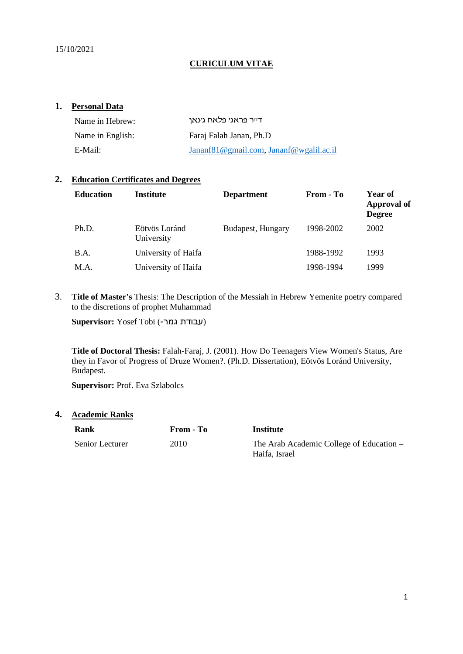#### **CURICULUM VITAE**

#### **1. Personal Data**

| Name in Hebrew:  | דייר פראגי פלאח גינאן                   |
|------------------|-----------------------------------------|
| Name in English: | Faraj Falah Janan, Ph.D                 |
| E-Mail:          | Jananf81@gmail.com, Jananf@wgalil.ac.il |

#### **2. Education Certificates and Degrees**

| <b>Education</b> | <b>Institute</b>            | <b>Department</b> | From - To | Year of<br>Approval of<br><b>Degree</b> |
|------------------|-----------------------------|-------------------|-----------|-----------------------------------------|
| Ph.D.            | Eötvös Loránd<br>University | Budapest, Hungary | 1998-2002 | 2002                                    |
| B.A.             | University of Haifa         |                   | 1988-1992 | 1993                                    |
| M.A.             | University of Haifa         |                   | 1998-1994 | 1999                                    |

3. **Title of Master's** Thesis: The Description of the Messiah in Hebrew Yemenite poetry compared to the discretions of prophet Muhammad

Supervisor: Yosef Tobi (עבודת גמר)

**Title of Doctoral Thesis:** Falah-Faraj, J. (2001). How Do Teenagers View Women's Status, Are they in Favor of Progress of Druze Women?. (Ph.D. Dissertation), Eötvös Loránd University, Budapest.

**Supervisor:** Prof. Eva Szlabolcs

**4. Academic Ranks**

| Rank            | From - To | Institute                                                 |
|-----------------|-----------|-----------------------------------------------------------|
| Senior Lecturer | 2010      | The Arab Academic College of Education –<br>Haifa, Israel |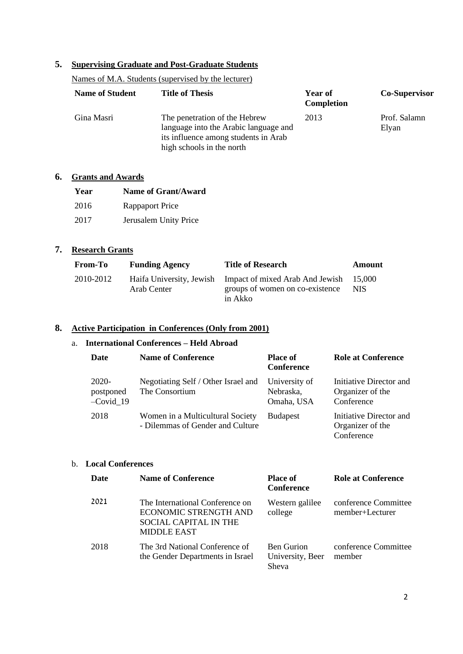## **5. Supervising Graduate and Post-Graduate Students**

# Names of M.A. Students (supervised by the lecturer)

| <b>Name of Student</b> | <b>Title of Thesis</b>                                                                                                                      | Year of<br><b>Completion</b> | <b>Co-Supervisor</b>  |
|------------------------|---------------------------------------------------------------------------------------------------------------------------------------------|------------------------------|-----------------------|
| Gina Masri             | The penetration of the Hebrew<br>language into the Arabic language and<br>its influence among students in Arab<br>high schools in the north | 2013                         | Prof. Salamn<br>Elyan |

### **6. Grants and Awards**

| Year | <b>Name of Grant/Award</b> |
|------|----------------------------|
| 2016 | Rappaport Price            |
| 2017 | Jerusalem Unity Price      |

### **7. Research Grants**

| <b>From-To</b> | <b>Funding Agency</b> | <b>Title of Research</b>                                                                                      | <b>Amount</b> |
|----------------|-----------------------|---------------------------------------------------------------------------------------------------------------|---------------|
| 2010-2012      | Arab Center           | Haifa University, Jewish Impact of mixed Arab And Jewish 15,000<br>groups of women on co-existence<br>in Akko | NIS.          |

### **8. Active Participation in Conferences (Only from 2001)**

### a. **International Conferences – Held Abroad**

| <b>Date</b>                       | <b>Name of Conference</b>                                            | <b>Place of</b><br><b>Conference</b>     | <b>Role at Conference</b>                                 |
|-----------------------------------|----------------------------------------------------------------------|------------------------------------------|-----------------------------------------------------------|
| 2020-<br>postponed<br>$-Covid$ 19 | Negotiating Self / Other Israel and<br>The Consortium                | University of<br>Nebraska,<br>Omaha, USA | Initiative Director and<br>Organizer of the<br>Conference |
| 2018                              | Women in a Multicultural Society<br>- Dilemmas of Gender and Culture | <b>Budapest</b>                          | Initiative Director and<br>Organizer of the<br>Conference |

### b. **Local Conferences**

| <b>Date</b> | <b>Name of Conference</b>                                                                                      | <b>Place of</b><br><b>Conference</b>           | <b>Role at Conference</b>               |
|-------------|----------------------------------------------------------------------------------------------------------------|------------------------------------------------|-----------------------------------------|
| 2021        | The International Conference on<br>ECONOMIC STRENGTH AND<br><b>SOCIAL CAPITAL IN THE</b><br><b>MIDDLE EAST</b> | Western galilee<br>college                     | conference Committee<br>member+Lecturer |
| 2018        | The 3rd National Conference of<br>the Gender Departments in Israel                                             | <b>Ben Gurion</b><br>University, Beer<br>Sheva | conference Committee<br>member          |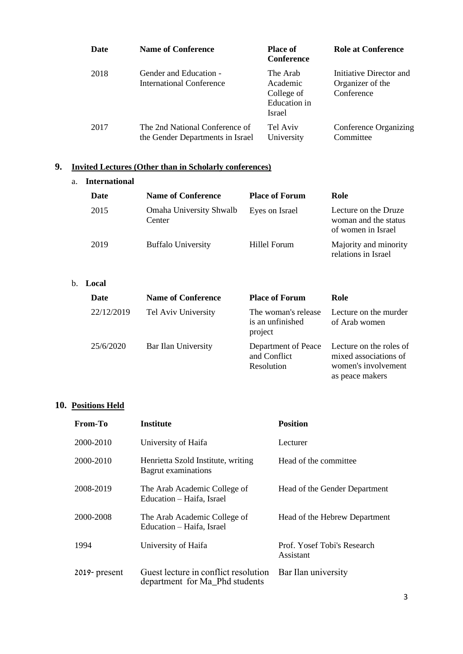| Date | <b>Name of Conference</b>                                          | <b>Place of</b><br><b>Conference</b>                         | <b>Role at Conference</b>                                 |
|------|--------------------------------------------------------------------|--------------------------------------------------------------|-----------------------------------------------------------|
| 2018 | Gender and Education -<br>International Conference                 | The Arab<br>Academic<br>College of<br>Education in<br>Israel | Initiative Director and<br>Organizer of the<br>Conference |
| 2017 | The 2nd National Conference of<br>the Gender Departments in Israel | Tel Aviv<br>University                                       | Conference Organizing<br>Committee                        |

### **9. Invited Lectures (Other than in Scholarly conferences)**

#### a. **International Date Name of Conference Place of Forum Role** 2015 Omaha University Shwalb **Center** Eyes on Israel Lecture on the Druze woman and the status of women in Israel 2019 Buffalo University Hillel Forum Majority and minority relations in Israel

#### b. **Local**

| Date       | <b>Name of Conference</b> | <b>Place of Forum</b>                              | Role                                                                                       |
|------------|---------------------------|----------------------------------------------------|--------------------------------------------------------------------------------------------|
| 22/12/2019 | Tel Aviv University       | The woman's release<br>is an unfinished<br>project | Lecture on the murder<br>of Arab women                                                     |
| 25/6/2020  | Bar Ilan University       | Department of Peace<br>and Conflict<br>Resolution  | Lecture on the roles of<br>mixed associations of<br>women's involvement<br>as peace makers |

### **10. Positions Held**

| From-To      | <b>Institute</b>                                                       | <b>Position</b>                          |
|--------------|------------------------------------------------------------------------|------------------------------------------|
| 2000-2010    | University of Haifa                                                    | Lecturer                                 |
| 2000-2010    | Henrietta Szold Institute, writing<br>Bagrut examinations              | Head of the committee                    |
| 2008-2019    | The Arab Academic College of<br>Education - Haifa, Israel              | Head of the Gender Department            |
| 2000-2008    | The Arab Academic College of<br>Education – Haifa, Israel              | Head of the Hebrew Department            |
| 1994         | University of Haifa                                                    | Prof. Yosef Tobi's Research<br>Assistant |
| 2019-present | Guest lecture in conflict resolution<br>department for Ma_Phd students | Bar Ilan university                      |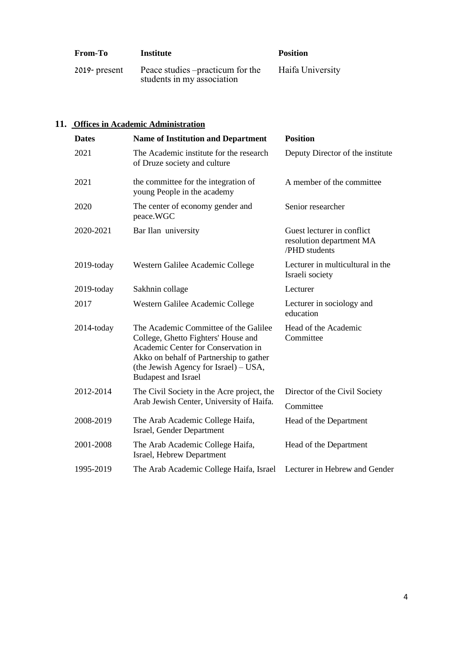| <b>From-To</b>   | Institute                                                       | <b>Position</b>  |
|------------------|-----------------------------------------------------------------|------------------|
| $2019$ - present | Peace studies – practicum for the<br>students in my association | Haifa University |

## **11. Offices in Academic Administration**

| <b>Dates</b> | <b>Name of Institution and Department</b>                                                                                                                                                                                               | <b>Position</b>                                                         |
|--------------|-----------------------------------------------------------------------------------------------------------------------------------------------------------------------------------------------------------------------------------------|-------------------------------------------------------------------------|
| 2021         | The Academic institute for the research<br>of Druze society and culture                                                                                                                                                                 | Deputy Director of the institute                                        |
| 2021         | the committee for the integration of<br>young People in the academy                                                                                                                                                                     | A member of the committee                                               |
| 2020         | The center of economy gender and<br>peace.WGC                                                                                                                                                                                           | Senior researcher                                                       |
| 2020-2021    | Bar Ilan university                                                                                                                                                                                                                     | Guest lecturer in conflict<br>resolution department MA<br>/PHD students |
| 2019-today   | Western Galilee Academic College                                                                                                                                                                                                        | Lecturer in multicultural in the<br>Israeli society                     |
| 2019-today   | Sakhnin collage                                                                                                                                                                                                                         | Lecturer                                                                |
| 2017         | Western Galilee Academic College                                                                                                                                                                                                        | Lecturer in sociology and<br>education                                  |
| 2014-today   | The Academic Committee of the Galilee<br>College, Ghetto Fighters' House and<br>Academic Center for Conservation in<br>Akko on behalf of Partnership to gather<br>(the Jewish Agency for Israel) $-$ USA,<br><b>Budapest and Israel</b> | Head of the Academic<br>Committee                                       |
| 2012-2014    | The Civil Society in the Acre project, the<br>Arab Jewish Center, University of Haifa.                                                                                                                                                  | Director of the Civil Society<br>Committee                              |
| 2008-2019    | The Arab Academic College Haifa,<br>Israel, Gender Department                                                                                                                                                                           | Head of the Department                                                  |
| 2001-2008    | The Arab Academic College Haifa,<br>Israel, Hebrew Department                                                                                                                                                                           | Head of the Department                                                  |
| 1995-2019    | The Arab Academic College Haifa, Israel                                                                                                                                                                                                 | Lecturer in Hebrew and Gender                                           |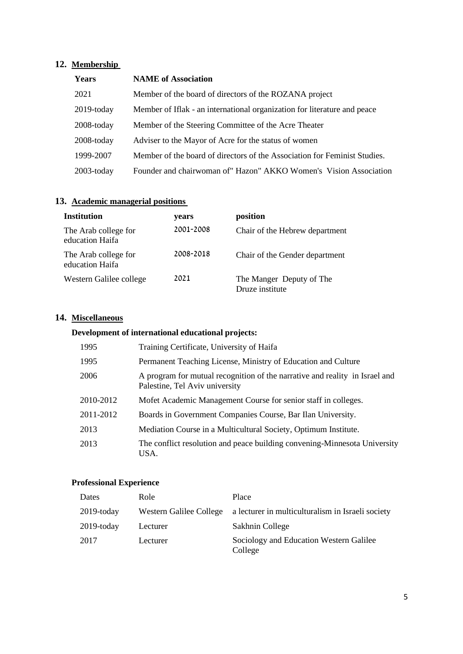## **12. Membership**

| Years         | <b>NAME</b> of Association                                                |
|---------------|---------------------------------------------------------------------------|
| 2021          | Member of the board of directors of the ROZANA project                    |
| $2019$ -today | Member of Iflak - an international organization for literature and peace  |
| $2008$ -today | Member of the Steering Committee of the Acre Theater                      |
| $2008$ -today | Adviser to the Mayor of Acre for the status of women                      |
| 1999-2007     | Member of the board of directors of the Association for Feminist Studies. |
| $2003$ -today | Founder and chairwoman of" Hazon" AKKO Women's Vision Association         |

## **13. Academic managerial positions**

| <b>Institution</b>                      | years     | position                                    |
|-----------------------------------------|-----------|---------------------------------------------|
| The Arab college for<br>education Haifa | 2001-2008 | Chair of the Hebrew department              |
| The Arab college for<br>education Haifa | 2008-2018 | Chair of the Gender department              |
| Western Galilee college                 | 2021      | The Manger Deputy of The<br>Druze institute |

## **14. Miscellaneous**

## **Development of international educational projects:**

| 1995      | Training Certificate, University of Haifa                                                                     |
|-----------|---------------------------------------------------------------------------------------------------------------|
| 1995      | Permanent Teaching License, Ministry of Education and Culture                                                 |
| 2006      | A program for mutual recognition of the narrative and reality in Israel and<br>Palestine, Tel Aviv university |
| 2010-2012 | Mofet Academic Management Course for senior staff in colleges.                                                |
| 2011-2012 | Boards in Government Companies Course, Bar Ilan University.                                                   |
| 2013      | Mediation Course in a Multicultural Society, Optimum Institute.                                               |
| 2013      | The conflict resolution and peace building convening-Minnesota University<br>USA.                             |

#### **Professional Experience**

| Dates         | Role                    | Place                                              |
|---------------|-------------------------|----------------------------------------------------|
| $2019$ -today | Western Galilee College | a lecturer in multiculturalism in Israeli society  |
| $2019$ -today | Lecturer                | Sakhnin College                                    |
| 2017          | Lecturer                | Sociology and Education Western Galilee<br>College |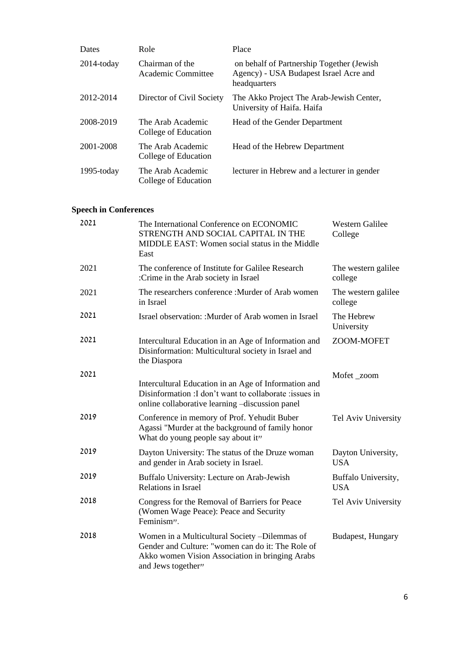| Dates         | Role                                      | Place                                                                                               |
|---------------|-------------------------------------------|-----------------------------------------------------------------------------------------------------|
| $2014$ -today | Chairman of the<br>Academic Committee     | on behalf of Partnership Together (Jewish<br>Agency) - USA Budapest Israel Acre and<br>headquarters |
| 2012-2014     | Director of Civil Society                 | The Akko Project The Arab-Jewish Center,<br>University of Haifa. Haifa                              |
| 2008-2019     | The Arab Academic<br>College of Education | Head of the Gender Department                                                                       |
| 2001-2008     | The Arab Academic<br>College of Education | Head of the Hebrew Department                                                                       |
| $1995$ -today | The Arab Academic<br>College of Education | lecturer in Hebrew and a lecturer in gender                                                         |

## **Speech in Conferences**

| 2021 | The International Conference on ECONOMIC<br>STRENGTH AND SOCIAL CAPITAL IN THE<br>MIDDLE EAST: Women social status in the Middle<br>East                                    | <b>Western Galilee</b><br>College |
|------|-----------------------------------------------------------------------------------------------------------------------------------------------------------------------------|-----------------------------------|
| 2021 | The conference of Institute for Galilee Research<br>:Crime in the Arab society in Israel                                                                                    | The western galilee<br>college    |
| 2021 | The researchers conference : Murder of Arab women<br>in Israel                                                                                                              | The western galilee<br>college    |
| 2021 | Israel observation: :Murder of Arab women in Israel                                                                                                                         | The Hebrew<br>University          |
| 2021 | Intercultural Education in an Age of Information and<br>Disinformation: Multicultural society in Israel and<br>the Diaspora                                                 | ZOOM-MOFET                        |
| 2021 | Intercultural Education in an Age of Information and<br>Disinformation : I don't want to collaborate : issues in<br>online collaborative learning -discussion panel         | Mofet_zoom                        |
| 2019 | Conference in memory of Prof. Yehudit Buber<br>Agassi "Murder at the background of family honor<br>What do young people say about it"                                       | Tel Aviv University               |
| 2019 | Dayton University: The status of the Druze woman<br>and gender in Arab society in Israel.                                                                                   | Dayton University,<br><b>USA</b>  |
| 2019 | Buffalo University: Lecture on Arab-Jewish<br>Relations in Israel                                                                                                           | Buffalo University,<br><b>USA</b> |
| 2018 | Congress for the Removal of Barriers for Peace<br>(Women Wage Peace): Peace and Security<br>Feminism".                                                                      | Tel Aviv University               |
| 2018 | Women in a Multicultural Society -Dilemmas of<br>Gender and Culture: "women can do it: The Role of<br>Akko women Vision Association in bringing Arabs<br>and Jews together" | Budapest, Hungary                 |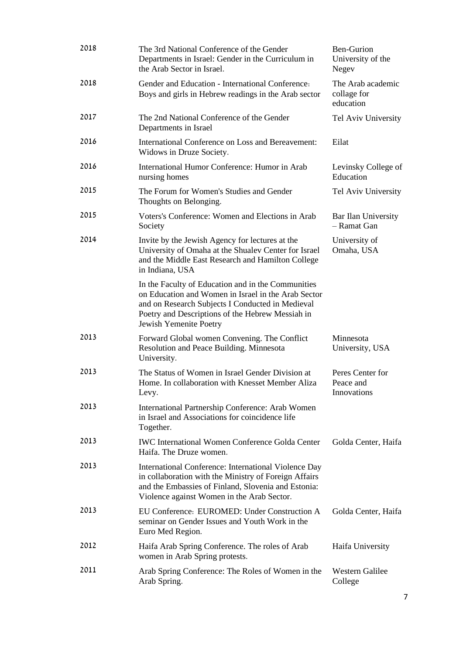| 2018 | The 3rd National Conference of the Gender<br>Departments in Israel: Gender in the Curriculum in<br>the Arab Sector in Israel.                                                                                                               | <b>Ben-Gurion</b><br>University of the<br>Negev |
|------|---------------------------------------------------------------------------------------------------------------------------------------------------------------------------------------------------------------------------------------------|-------------------------------------------------|
| 2018 | Gender and Education - International Conference:<br>Boys and girls in Hebrew readings in the Arab sector                                                                                                                                    | The Arab academic<br>collage for<br>education   |
| 2017 | The 2nd National Conference of the Gender<br>Departments in Israel                                                                                                                                                                          | Tel Aviv University                             |
| 2016 | International Conference on Loss and Bereavement:<br>Widows in Druze Society.                                                                                                                                                               | Eilat                                           |
| 2016 | International Humor Conference: Humor in Arab<br>nursing homes                                                                                                                                                                              | Levinsky College of<br>Education                |
| 2015 | The Forum for Women's Studies and Gender<br>Thoughts on Belonging.                                                                                                                                                                          | Tel Aviv University                             |
| 2015 | Voters's Conference: Women and Elections in Arab<br>Society                                                                                                                                                                                 | Bar Ilan University<br>- Ramat Gan              |
| 2014 | Invite by the Jewish Agency for lectures at the<br>University of Omaha at the Shualev Center for Israel<br>and the Middle East Research and Hamilton College<br>in Indiana, USA                                                             | University of<br>Omaha, USA                     |
|      | In the Faculty of Education and in the Communities<br>on Education and Women in Israel in the Arab Sector<br>and on Research Subjects I Conducted in Medieval<br>Poetry and Descriptions of the Hebrew Messiah in<br>Jewish Yemenite Poetry |                                                 |
| 2013 | Forward Global women Convening. The Conflict<br>Resolution and Peace Building. Minnesota<br>University.                                                                                                                                     | Minnesota<br>University, USA                    |
| 2013 | The Status of Women in Israel Gender Division at<br>Home. In collaboration with Knesset Member Aliza<br>Levy.                                                                                                                               | Peres Center for<br>Peace and<br>Innovations    |
| 2013 | International Partnership Conference: Arab Women<br>in Israel and Associations for coincidence life<br>Together.                                                                                                                            |                                                 |
| 2013 | <b>IWC International Women Conference Golda Center</b><br>Haifa. The Druze women.                                                                                                                                                           | Golda Center, Haifa                             |
| 2013 | International Conference: International Violence Day<br>in collaboration with the Ministry of Foreign Affairs<br>and the Embassies of Finland, Slovenia and Estonia:<br>Violence against Women in the Arab Sector.                          |                                                 |
| 2013 | EU Conference: EUROMED: Under Construction A<br>seminar on Gender Issues and Youth Work in the<br>Euro Med Region.                                                                                                                          | Golda Center, Haifa                             |
| 2012 | Haifa Arab Spring Conference. The roles of Arab<br>women in Arab Spring protests.                                                                                                                                                           | Haifa University                                |
| 2011 | Arab Spring Conference: The Roles of Women in the<br>Arab Spring.                                                                                                                                                                           | <b>Western Galilee</b><br>College               |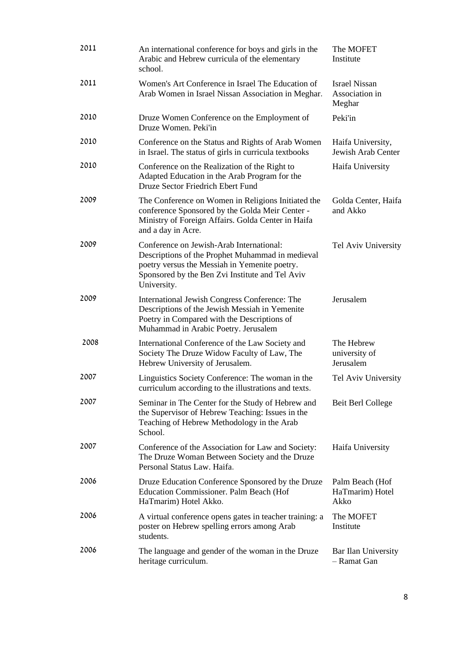| 2011 | An international conference for boys and girls in the<br>Arabic and Hebrew curricula of the elementary<br>school.                                                                                               | The MOFET<br>Institute                           |
|------|-----------------------------------------------------------------------------------------------------------------------------------------------------------------------------------------------------------------|--------------------------------------------------|
| 2011 | Women's Art Conference in Israel The Education of<br>Arab Women in Israel Nissan Association in Meghar.                                                                                                         | <b>Israel Nissan</b><br>Association in<br>Meghar |
| 2010 | Druze Women Conference on the Employment of<br>Druze Women. Peki'in                                                                                                                                             | Peki'in                                          |
| 2010 | Conference on the Status and Rights of Arab Women<br>in Israel. The status of girls in curricula textbooks                                                                                                      | Haifa University,<br>Jewish Arab Center          |
| 2010 | Conference on the Realization of the Right to<br>Adapted Education in the Arab Program for the<br>Druze Sector Friedrich Ebert Fund                                                                             | Haifa University                                 |
| 2009 | The Conference on Women in Religions Initiated the<br>conference Sponsored by the Golda Meir Center -<br>Ministry of Foreign Affairs. Golda Center in Haifa<br>and a day in Acre.                               | Golda Center, Haifa<br>and Akko                  |
| 2009 | Conference on Jewish-Arab International:<br>Descriptions of the Prophet Muhammad in medieval<br>poetry versus the Messiah in Yemenite poetry.<br>Sponsored by the Ben Zvi Institute and Tel Aviv<br>University. | Tel Aviv University                              |
| 2009 | International Jewish Congress Conference: The<br>Descriptions of the Jewish Messiah in Yemenite<br>Poetry in Compared with the Descriptions of<br>Muhammad in Arabic Poetry. Jerusalem                          | Jerusalem                                        |
| 2008 | International Conference of the Law Society and<br>Society The Druze Widow Faculty of Law, The<br>Hebrew University of Jerusalem.                                                                               | The Hebrew<br>university of<br>Jerusalem         |
| 2007 | Linguistics Society Conference: The woman in the<br>curriculum according to the illustrations and texts.                                                                                                        | Tel Aviv University                              |
| 2007 | Seminar in The Center for the Study of Hebrew and<br>the Supervisor of Hebrew Teaching: Issues in the<br>Teaching of Hebrew Methodology in the Arab<br>School.                                                  | Beit Berl College                                |
| 2007 | Conference of the Association for Law and Society:<br>The Druze Woman Between Society and the Druze<br>Personal Status Law. Haifa.                                                                              | Haifa University                                 |
| 2006 | Druze Education Conference Sponsored by the Druze<br>Education Commissioner. Palm Beach (Hof<br>HaTmarim) Hotel Akko.                                                                                           | Palm Beach (Hof<br>HaTmarim) Hotel<br>Akko       |
| 2006 | A virtual conference opens gates in teacher training: a<br>poster on Hebrew spelling errors among Arab<br>students.                                                                                             | The MOFET<br>Institute                           |
| 2006 | The language and gender of the woman in the Druze<br>heritage curriculum.                                                                                                                                       | Bar Ilan University<br>- Ramat Gan               |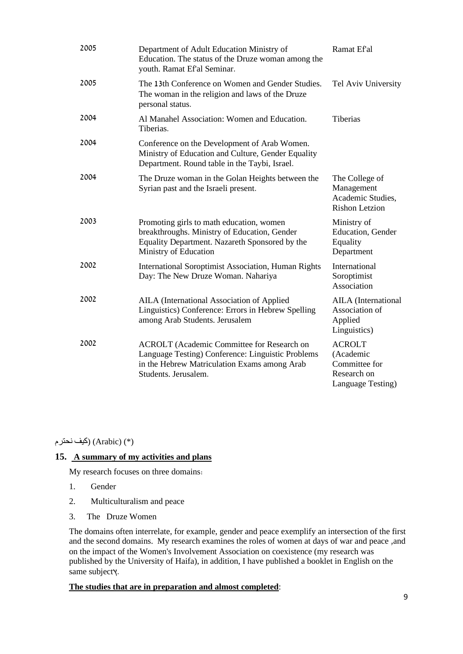| 2005 | Department of Adult Education Ministry of<br>Education. The status of the Druze woman among the<br>youth. Ramat Ef'al Seminar.                                                 | Ramat Ef'al                                                                     |
|------|--------------------------------------------------------------------------------------------------------------------------------------------------------------------------------|---------------------------------------------------------------------------------|
| 2005 | The 13th Conference on Women and Gender Studies.<br>The woman in the religion and laws of the Druze<br>personal status.                                                        | Tel Aviv University                                                             |
| 2004 | Al Manahel Association: Women and Education.<br>Tiberias.                                                                                                                      | <b>Tiberias</b>                                                                 |
| 2004 | Conference on the Development of Arab Women.<br>Ministry of Education and Culture, Gender Equality<br>Department. Round table in the Taybi, Israel.                            |                                                                                 |
| 2004 | The Druze woman in the Golan Heights between the<br>Syrian past and the Israeli present.                                                                                       | The College of<br>Management<br>Academic Studies,<br><b>Rishon Letzion</b>      |
| 2003 | Promoting girls to math education, women<br>breakthroughs. Ministry of Education, Gender<br>Equality Department. Nazareth Sponsored by the<br>Ministry of Education            | Ministry of<br>Education, Gender<br>Equality<br>Department                      |
| 2002 | International Soroptimist Association, Human Rights<br>Day: The New Druze Woman. Nahariya                                                                                      | International<br>Soroptimist<br>Association                                     |
| 2002 | AILA (International Association of Applied<br>Linguistics) Conference: Errors in Hebrew Spelling<br>among Arab Students. Jerusalem                                             | AILA (International<br>Association of<br>Applied<br>Linguistics)                |
| 2002 | <b>ACROLT</b> (Academic Committee for Research on<br>Language Testing) Conference: Linguistic Problems<br>in the Hebrew Matriculation Exams among Arab<br>Students. Jerusalem. | <b>ACROLT</b><br>(Academic<br>Committee for<br>Research on<br>Language Testing) |

(\*) (Arabic) (كيف نحترم

#### **15. A summary of my activities and plans**

My research focuses on three domains :

- 1. Gender
- 2. Multiculturalism and peace
- 3. The Druze Women

The domains often interrelate, for example, gender and peace exemplify an intersection of the first and the second domains. My research examines the roles of women at days of war and peace ,and on the impact of the Women's Involvement Association on coexistence (my research was published by the University of Haifa), in addition, I have published a booklet in English on the same subjectγ.

#### **The studies that are in preparation and almost completed**: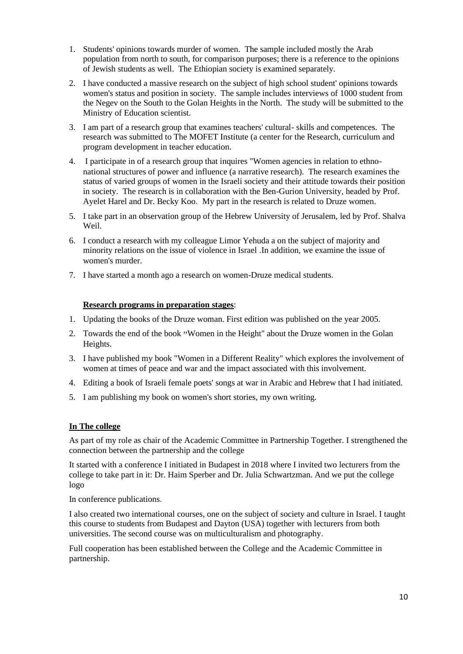- 1. Students' opinions towards murder of women. The sample included mostly the Arab population from north to south, for comparison purposes; there is a reference to the opinions of Jewish students as well. The Ethiopian society is examined separately.
- 2. I have conducted a massive research on the subject of high school student' opinions towards women's status and position in society. The sample includes interviews of 1000 student from the Negev on the South to the Golan Heights in the North. The study will be submitted to the Ministry of Education scientist.
- 3. I am part of a research group that examines teachers' cultural- skills and competences. The research was submitted to The MOFET Institute (a center for the Research, curriculum and program development in teacher education.
- 4. I participate in of a research group that inquires "Women agencies in relation to ethnonational structures of power and influence (a narrative research). The research examines the status of varied groups of women in the Israeli society and their attitude towards their position in society. The research is in collaboration with the Ben-Gurion University, headed by Prof. Ayelet Harel and Dr. Becky Koo. My part in the research is related to Druze women.
- 5. I take part in an observation group of the Hebrew University of Jerusalem, led by Prof. Shalva Weil.
- 6. I conduct a research with my colleague Limor Yehuda a on the subject of majority and minority relations on the issue of violence in Israel .In addition, we examine the issue of women's murder.
- 7. I have started a month ago a research on women-Druze medical students .

#### **Research programs in preparation stages**:

- 1. Updating the books of the Druze woman. First edition was published on the year 2005.
- 2. Towards the end of the book "Women in the Height" about the Druze women in the Golan Heights.
- 3. I have published my book "Women in a Different Reality" which explores the involvement of women at times of peace and war and the impact associated with this involvement.
- 4. Editing a book of Israeli female poets' songs at war in Arabic and Hebrew that I had initiated.
- 5. I am publishing my book on women's short stories, my own writing.

#### **In The college**

As part of my role as chair of the Academic Committee in Partnership Together. I strengthened the connection between the partnership and the college

It started with a conference I initiated in Budapest in 2018 where I invited two lecturers from the college to take part in it: Dr. Haim Sperber and Dr. Julia Schwartzman. And we put the college logo

In conference publications.

I also created two international courses, one on the subject of society and culture in Israel. I taught this course to students from Budapest and Dayton (USA) together with lecturers from both universities. The second course was on multiculturalism and photography .

Full cooperation has been established between the College and the Academic Committee in partnership.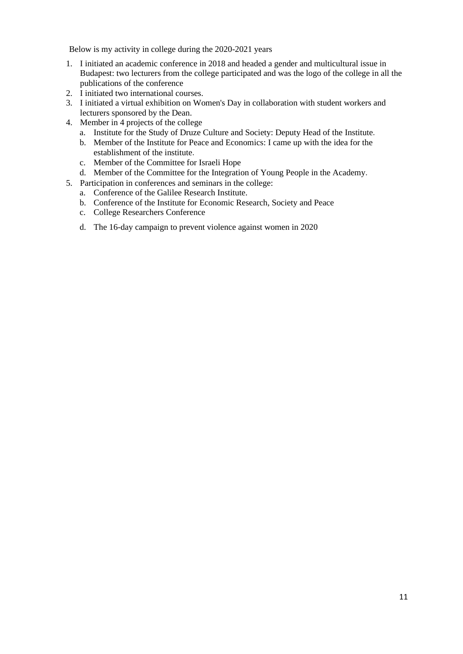Below is my activity in college during the 2020-2021 years

- 1. I initiated an academic conference in 2018 and headed a gender and multicultural issue in Budapest: two lecturers from the college participated and was the logo of the college in all the publications of the conference
- 2. I initiated two international courses.
- 3. I initiated a virtual exhibition on Women's Day in collaboration with student workers and lecturers sponsored by the Dean.
- 4. Member in 4 projects of the college
	- a. Institute for the Study of Druze Culture and Society: Deputy Head of the Institute .
	- b. Member of the Institute for Peace and Economics: I came up with the idea for the establishment of the institute.
	- c. Member of the Committee for Israeli Hope
	- d. Member of the Committee for the Integration of Young People in the Academy .
- 5. Participation in conferences and seminars in the college:
	- a. Conference of the Galilee Research Institute.
	- b. Conference of the Institute for Economic Research, Society and Peace
	- c. College Researchers Conference
	- d. The 16-day campaign to prevent violence against women in 2020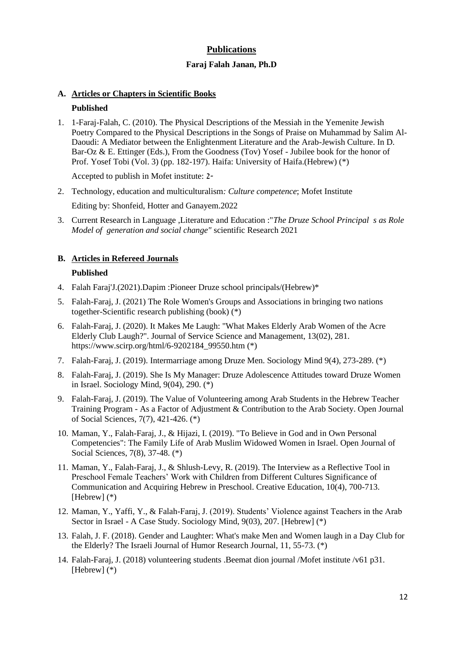## **Publications**

### **Faraj Falah Janan, Ph.D**

#### **A. Articles or Chapters in Scientific Books**

#### **Published**

1. 1-Faraj-Falah, C. (2010). The Physical Descriptions of the Messiah in the Yemenite Jewish Poetry Compared to the Physical Descriptions in the Songs of Praise on Muhammad by Salim Al-Daoudi: A Mediator between the Enlightenment Literature and the Arab-Jewish Culture. In D. Bar-Oz & E. Ettinger (Eds.), From the Goodness (Tov) Yosef - Jubilee book for the honor of Prof. Yosef Tobi (Vol. 3) (pp. 182-197). Haifa: University of Haifa.(Hebrew) (\*)

Accepted to publish in Mofet institute: 2-

- 2. Technology, education and multiculturalism*: Culture competence*; Mofet Institute Editing by: Shonfeid, Hotter and Ganayem.2022
- 3. Current Research in Language ,Literature and Education :"*The Druze School Principal s as Role Model of generation and social change"* scientific Research 2021

## **B. Articles in Refereed Journals**

### **Published**

- 4. Falah Faraj'J.(2021).Dapim :Pioneer Druze school principals/(Hebrew)\*
- 5. Falah-Faraj, J. (2021) The Role Women's Groups and Associations in bringing two nations together-Scientific research publishing (book) (\*)
- 6. Falah-Faraj, J. (2020). It Makes Me Laugh: "What Makes Elderly Arab Women of the Acre Elderly Club Laugh?". Journal of Service Science and Management, 13(02), 281. [https://www.scirp.org/html/6-9202184\\_99550.htm](https://www.scirp.org/html/6-9202184_99550.htm) (\*)
- 7. Falah-Faraj, J. (2019). Intermarriage among Druze Men. Sociology Mind 9(4), 273-289. (\*)
- 8. Falah-Faraj, J. (2019). She Is My Manager: Druze Adolescence Attitudes toward Druze Women in Israel. Sociology Mind, 9(04), 290. (\*)
- 9. Falah-Faraj, J. (2019). The Value of Volunteering among Arab Students in the Hebrew Teacher Training Program - As a Factor of Adjustment & Contribution to the Arab Society. Open Journal of Social Sciences, 7(7), 421-426. (\*)
- 10. Maman, Y., Falah-Faraj, J., & Hijazi, I. (2019). "To Believe in God and in Own Personal Competencies": The Family Life of Arab Muslim Widowed Women in Israel. Open Journal of Social Sciences, 7(8), 37-48. (\*)
- 11. Maman, Y., Falah-Faraj, J., & Shlush-Levy, R. (2019). The Interview as a Reflective Tool in Preschool Female Teachers' Work with Children from Different Cultures Significance of Communication and Acquiring Hebrew in Preschool. Creative Education, 10(4), 700-713. [Hebrew] (\*)
- 12. Maman, Y., Yaffi, Y., & Falah-Faraj, J. (2019). Students' Violence against Teachers in the Arab Sector in Israel - A Case Study. Sociology Mind, 9(03), 207. [Hebrew] (\*)
- 13. Falah, J. F. (2018). Gender and Laughter: What's make Men and Women laugh in a Day Club for the Elderly? The Israeli Journal of Humor Research Journal, 11, 55-73. (\*)
- 14. Falah-Faraj, J. (2018) volunteering students .Beemat dion journal /Mofet institute /v61 p31. [Hebrew] (\*)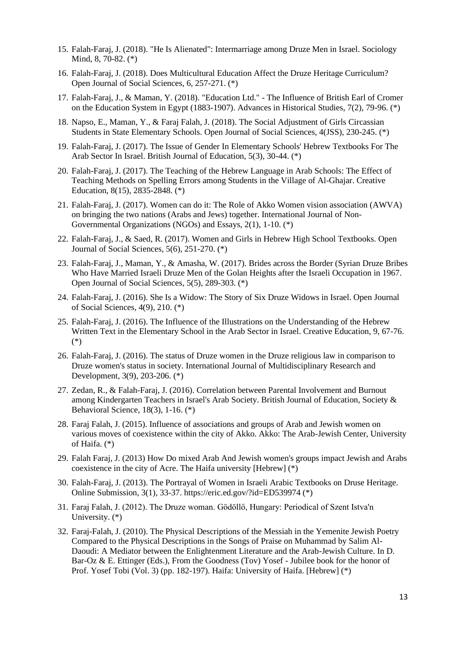- 15. Falah-Faraj, J. (2018). "He Is Alienated": Intermarriage among Druze Men in Israel. Sociology Mind, 8, 70-82. (\*)
- 16. Falah-Faraj, J. (2018). Does Multicultural Education Affect the Druze Heritage Curriculum? Open Journal of Social Sciences, 6, 257-271. (\*)
- 17. Falah-Faraj, J., & Maman, Y. (2018). "Education Ltd." The Influence of British Earl of Cromer on the Education System in Egypt (1883-1907). Advances in Historical Studies, 7(2), 79-96. (\*)
- 18. Napso, E., Maman, Y., & Faraj Falah, J. (2018). [The Social Adjustment of Girls Circassian](javascript:void(0))  [Students in State Elementary Schools.](javascript:void(0)) Open Journal of Social Sciences, 4(JSS), 230-245. (\*)
- 19. Falah-Faraj, J. (2017). The Issue of Gender In Elementary Schools' Hebrew Textbooks For The Arab Sector In Israel. British Journal of Education, 5(3), 30-44. (\*)
- 20. Falah-Faraj, J. (2017). The Teaching of the Hebrew Language in Arab Schools: The Effect of Teaching Methods on Spelling Errors among Students in the Village of Al-Ghajar. Creative Education, 8(15), 2835-2848. (\*)
- 21. Falah-Faraj, J. (2017). Women can do it: The Role of Akko Women vision association (AWVA) on bringing the two nations (Arabs and Jews) together. International Journal of Non-Governmental Organizations (NGOs) and Essays, 2(1), 1-10. (\*)
- 22. Falah-Faraj, J., & Saed, R. (2017). Women and Girls in Hebrew High School Textbooks. Open Journal of Social Sciences, 5(6), 251-270. (\*)
- 23. Falah-Faraj, J., Maman, Y., & Amasha, W. (2017). Brides across the Border (Syrian Druze Bribes Who Have Married Israeli Druze Men of the Golan Heights after the Israeli Occupation in 1967. [Open Journal of Social Sciences,](https://www.scirp.org/journal/journalarticles.aspx?journalid=2430) 5(5), 289-303. (\*)
- 24. Falah-Faraj, J. (2016). She Is a Widow: The Story of Six Druze Widows in Israel. Open Journal of Social Sciences, 4(9), 210. (\*)
- 25. Falah-Faraj, J. (2016). The Influence of the Illustrations on the Understanding of the Hebrew Written Text in the Elementary School in the Arab Sector in Israel. Creative Education, 9, 67-76. (\*)
- 26. Falah-Faraj, J. (2016). The status of Druze women in the Druze religious law in comparison to Druze women's status in society. International Journal of Multidisciplinary Research and Development, 3(9), 203-206. (\*)
- 27. Zedan, R., & Falah-Faraj, J. (2016). Correlation between Parental Involvement and Burnout among Kindergarten Teachers in Israel's Arab Society. British Journal of Education, Society & Behavioral Science, 18(3), 1-16. (\*)
- 28. Faraj Falah, J. (2015). Influence of associations and groups of Arab and Jewish women on various moves of coexistence within the city of Akko. Akko: The Arab-Jewish Center, University of Haifa. (\*)
- 29. Falah Faraj, J. (2013) How Do mixed Arab And Jewish women's groups impact Jewish and Arabs coexistence in the city of Acre. The Haifa university [Hebrew] (\*)
- 30. Falah-Faraj, J. (2013). The Portrayal of Women in Israeli Arabic Textbooks on Druse Heritage. Online Submission, 3(1), 33-37[. https://eric.ed.gov/?id=ED539974](https://eric.ed.gov/?id=ED539974) (\*)
- 31. Faraj Falah, J. (2012). The Druze woman. Gödöllő, Hungary: Periodical of Szent Istva'n University. (\*)
- 32. Faraj-Falah, J. (2010). The Physical Descriptions of the Messiah in the Yemenite Jewish Poetry Compared to the Physical Descriptions in the Songs of Praise on Muhammad by Salim Al-Daoudi: A Mediator between the Enlightenment Literature and the Arab-Jewish Culture. In D. Bar-Oz & E. Ettinger (Eds.), From the Goodness (Tov) Yosef - Jubilee book for the honor of Prof. Yosef Tobi (Vol. 3) (pp. 182-197). Haifa: University of Haifa. [Hebrew] (\*)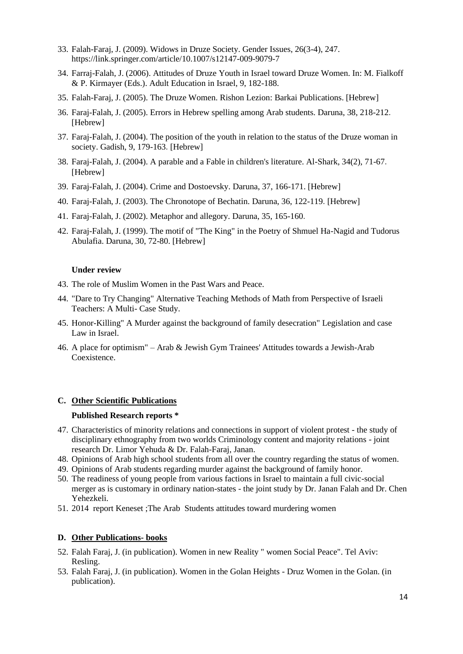- 33. Falah-Faraj, J. (2009). Widows in Druze Society. Gender Issues, 26(3-4), 247. <https://link.springer.com/article/10.1007/s12147-009-9079-7>
- 34. Farraj-Falah, J. (2006). Attitudes of Druze Youth in Israel toward Druze Women. In: M. Fialkoff & P. Kirmayer (Eds.). Adult Education in Israel, 9, 182-188.
- 35. Falah-Faraj, J. (2005). The Druze Women. Rishon Lezion: Barkai Publications. [Hebrew]
- 36. Faraj-Falah, J. (2005). Errors in Hebrew spelling among Arab students. Daruna, 38, 218-212. [Hebrew]
- 37. Faraj-Falah, J. (2004). The position of the youth in relation to the status of the Druze woman in society. Gadish, 9, 179-163. [Hebrew]
- 38. Faraj-Falah, J. (2004). A parable and a Fable in children's literature. Al-Shark, 34(2), 71-67. [Hebrew]
- 39. Faraj-Falah, J. (2004). Crime and Dostoevsky. Daruna, 37, 166-171. [Hebrew]
- 40. Faraj-Falah, J. (2003). The Chronotope of Bechatin. Daruna, 36, 122-119. [Hebrew]
- 41. Faraj-Falah, J. (2002). Metaphor and allegory. Daruna, 35, 165-160 .
- 42. Faraj-Falah, J. (1999). The motif of "The King" in the Poetry of Shmuel Ha-Nagid and Tudorus Abulafia. Daruna, 30, 72-80. [Hebrew]

#### **Under review**

- 43. The role of Muslim Women in the Past Wars and Peace.
- 44. "Dare to Try Changing" Alternative Teaching Methods of Math from Perspective of Israeli Teachers: A Multi- Case Study.
- 45. Honor-Killing" A Murder against the background of family desecration" Legislation and case Law in Israel.
- 46. A place for optimism" Arab & Jewish Gym Trainees' Attitudes towards a Jewish-Arab Coexistence.

#### **C. Other Scientific Publications**

#### **Published Research reports \***

- 47. Characteristics of minority relations and connections in support of violent protest the study of disciplinary ethnography from two worlds Criminology content and majority relations - joint research Dr. Limor Yehuda & Dr. Falah-Faraj, Janan.
- 48. Opinions of Arab high school students from all over the country regarding the status of women.
- 49. Opinions of Arab students regarding murder against the background of family honor.
- 50. The readiness of young people from various factions in Israel to maintain a full civic-social merger as is customary in ordinary nation-states - the joint study by Dr. Janan Falah and Dr. Chen Yehezkeli.
- 51. 2014 report Keneset ;The Arab Students attitudes toward murdering women

#### **D. Other Publications- books**

- 52. Falah Faraj, J. (in publication). Women in new Reality " women Social Peace". Tel Aviv: Resling.
- 53. Falah Faraj, J. (in publication). Women in the Golan Heights Druz Women in the Golan. (in publication).